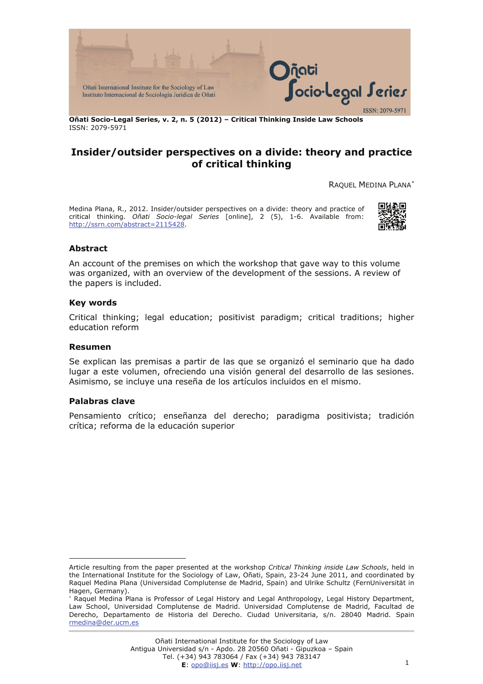

**Oñati Socio-Legal Series, v. 2, n. 5 (2012) – Critical Thinking Inside Law Schools**  ISSN: 2079-5971

# **Insider/outsider perspectives on a divide: theory and practice of critical thinking**

RAQUEL MEDINA PLANA[∗](#page-0-0)

Medina Plana, R., 2012. Insider/outsider perspectives on a divide: theory and practice of critical thinking. *Oñati Socio-legal Series* [online], 2 (5), 1-6. Available from: [http://ssrn.com/abstract=2115428.](http://ssrn.com/abstract=2115428) 



#### **Abstract**

An account of the premises on which the workshop that gave way to this volume was organized, with an overview of the development of the sessions. A review of the papers is included.

#### **Key words**

Critical thinking; legal education; positivist paradigm; critical traditions; higher education reform

#### **Resumen**

 $\overline{a}$ 

Se explican las premisas a partir de las que se organizó el seminario que ha dado lugar a este volumen, ofreciendo una visión general del desarrollo de las sesiones. Asimismo, se incluye una reseña de los artículos incluidos en el mismo.

#### **Palabras clave**

Pensamiento crítico; enseñanza del derecho; paradigma positivista; tradición crítica; reforma de la educación superior

<span id="page-0-0"></span>Article resulting from the paper presented at the workshop *Critical Thinking inside Law Schools*, held in the International Institute for the Sociology of Law, Oñati, Spain, 23-24 June 2011, and coordinated by Raquel Medina Plana (Universidad Complutense de Madrid, Spain) and Ulrike Schultz (FernUniversität in Hagen, Germany).

<sup>∗</sup> Raquel Medina Plana is Professor of Legal History and Legal Anthropology, Legal History Department, Law School, Universidad Complutense de Madrid. Universidad Complutense de Madrid, Facultad de Derecho, Departamento de Historia del Derecho. Ciudad Universitaria, s/n. 28040 Madrid. Spain [rmedina@der.ucm.es](mailto:rmedina@der.ucm.es)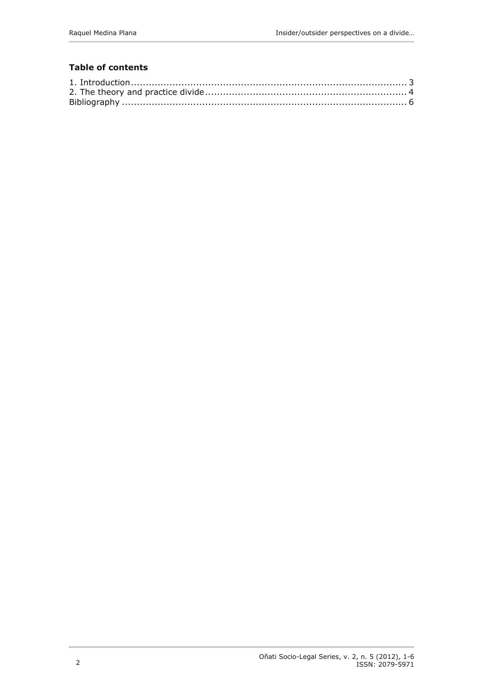## **Table of contents**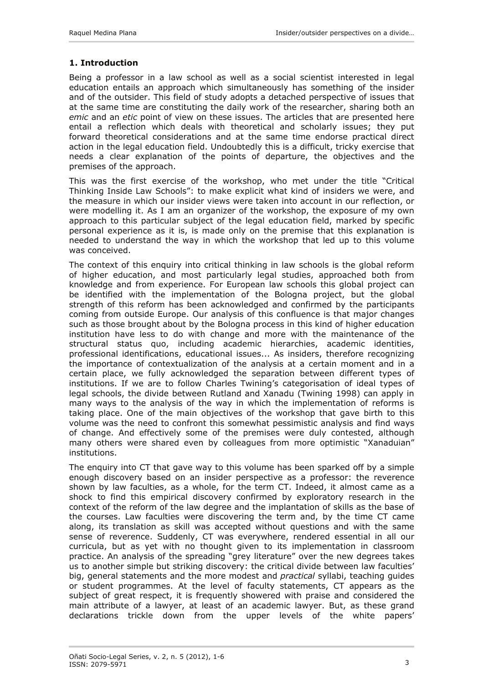## <span id="page-2-0"></span>**1. Introduction**

Being a professor in a law school as well as a social scientist interested in legal education entails an approach which simultaneously has something of the insider and of the outsider. This field of study adopts a detached perspective of issues that at the same time are constituting the daily work of the researcher, sharing both an *emic* and an *etic* point of view on these issues. The articles that are presented here entail a reflection which deals with theoretical and scholarly issues; they put forward theoretical considerations and at the same time endorse practical direct action in the legal education field. Undoubtedly this is a difficult, tricky exercise that needs a clear explanation of the points of departure, the objectives and the premises of the approach.

This was the first exercise of the workshop, who met under the title "Critical Thinking Inside Law Schools": to make explicit what kind of insiders we were, and the measure in which our insider views were taken into account in our reflection, or were modelling it. As I am an organizer of the workshop, the exposure of my own approach to this particular subject of the legal education field, marked by specific personal experience as it is, is made only on the premise that this explanation is needed to understand the way in which the workshop that led up to this volume was conceived.

The context of this enquiry into critical thinking in law schools is the global reform of higher education, and most particularly legal studies, approached both from knowledge and from experience. For European law schools this global project can be identified with the implementation of the Bologna project, but the global strength of this reform has been acknowledged and confirmed by the participants coming from outside Europe. Our analysis of this confluence is that major changes such as those brought about by the Bologna process in this kind of higher education institution have less to do with change and more with the maintenance of the structural status quo, including academic hierarchies, academic identities, professional identifications, educational issues... As insiders, therefore recognizing the importance of contextualization of the analysis at a certain moment and in a certain place, we fully acknowledged the separation between different types of institutions. If we are to follow Charles Twining's categorisation of ideal types of legal schools, the divide between Rutland and Xanadu (Twining 1998) can apply in many ways to the analysis of the way in which the implementation of reforms is taking place. One of the main objectives of the workshop that gave birth to this volume was the need to confront this somewhat pessimistic analysis and find ways of change. And effectively some of the premises were duly contested, although many others were shared even by colleagues from more optimistic "Xanaduian" institutions.

The enquiry into CT that gave way to this volume has been sparked off by a simple enough discovery based on an insider perspective as a professor: the reverence shown by law faculties, as a whole, for the term CT. Indeed, it almost came as a shock to find this empirical discovery confirmed by exploratory research in the context of the reform of the law degree and the implantation of skills as the base of the courses. Law faculties were discovering the term and, by the time CT came along, its translation as skill was accepted without questions and with the same sense of reverence. Suddenly, CT was everywhere, rendered essential in all our curricula, but as yet with no thought given to its implementation in classroom practice. An analysis of the spreading "grey literature" over the new degrees takes us to another simple but striking discovery: the critical divide between law faculties' big, general statements and the more modest and *practical* syllabi, teaching guides or student programmes. At the level of faculty statements, CT appears as the subject of great respect, it is frequently showered with praise and considered the main attribute of a lawyer, at least of an academic lawyer. But, as these grand declarations trickle down from the upper levels of the white papers'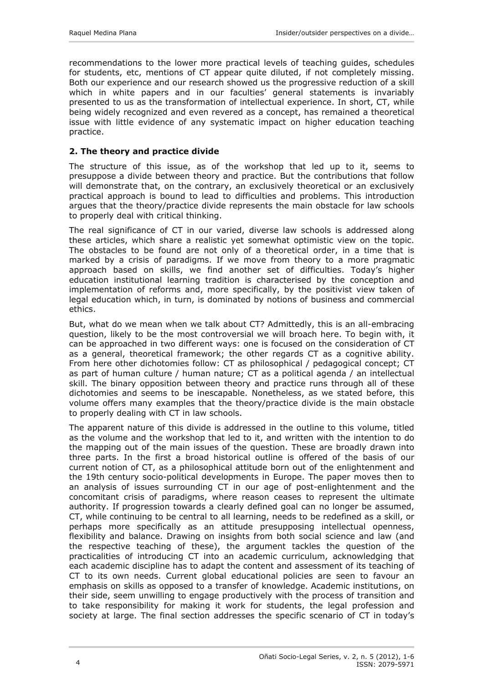<span id="page-3-0"></span>recommendations to the lower more practical levels of teaching guides, schedules for students, etc, mentions of CT appear quite diluted, if not completely missing. Both our experience and our research showed us the progressive reduction of a skill which in white papers and in our faculties' general statements is invariably presented to us as the transformation of intellectual experience. In short, CT, while being widely recognized and even revered as a concept, has remained a theoretical issue with little evidence of any systematic impact on higher education teaching practice.

### **2. The theory and practice divide**

The structure of this issue, as of the workshop that led up to it, seems to presuppose a divide between theory and practice. But the contributions that follow will demonstrate that, on the contrary, an exclusively theoretical or an exclusively practical approach is bound to lead to difficulties and problems. This introduction argues that the theory/practice divide represents the main obstacle for law schools to properly deal with critical thinking.

The real significance of CT in our varied, diverse law schools is addressed along these articles, which share a realistic yet somewhat optimistic view on the topic. The obstacles to be found are not only of a theoretical order, in a time that is marked by a crisis of paradigms. If we move from theory to a more pragmatic approach based on skills, we find another set of difficulties. Today's higher education institutional learning tradition is characterised by the conception and implementation of reforms and, more specifically, by the positivist view taken of legal education which, in turn, is dominated by notions of business and commercial ethics.

But, what do we mean when we talk about CT? Admittedly, this is an all-embracing question, likely to be the most controversial we will broach here. To begin with, it can be approached in two different ways: one is focused on the consideration of CT as a general, theoretical framework; the other regards CT as a cognitive ability. From here other dichotomies follow: CT as philosophical / pedagogical concept; CT as part of human culture / human nature; CT as a political agenda / an intellectual skill. The binary opposition between theory and practice runs through all of these dichotomies and seems to be inescapable. Nonetheless, as we stated before, this volume offers many examples that the theory/practice divide is the main obstacle to properly dealing with CT in law schools.

The apparent nature of this divide is addressed in the outline to this volume, titled as the volume and the workshop that led to it, and written with the intention to do the mapping out of the main issues of the question. These are broadly drawn into three parts. In the first a broad historical outline is offered of the basis of our current notion of CT, as a philosophical attitude born out of the enlightenment and the 19th century socio-political developments in Europe. The paper moves then to an analysis of issues surrounding CT in our age of post-enlightenment and the concomitant crisis of paradigms, where reason ceases to represent the ultimate authority. If progression towards a clearly defined goal can no longer be assumed, CT, while continuing to be central to all learning, needs to be redefined as a skill, or perhaps more specifically as an attitude presupposing intellectual openness, flexibility and balance. Drawing on insights from both social science and law (and the respective teaching of these), the argument tackles the question of the practicalities of introducing CT into an academic curriculum, acknowledging that each academic discipline has to adapt the content and assessment of its teaching of CT to its own needs. Current global educational policies are seen to favour an emphasis on skills as opposed to a transfer of knowledge. Academic institutions, on their side, seem unwilling to engage productively with the process of transition and to take responsibility for making it work for students, the legal profession and society at large. The final section addresses the specific scenario of CT in today's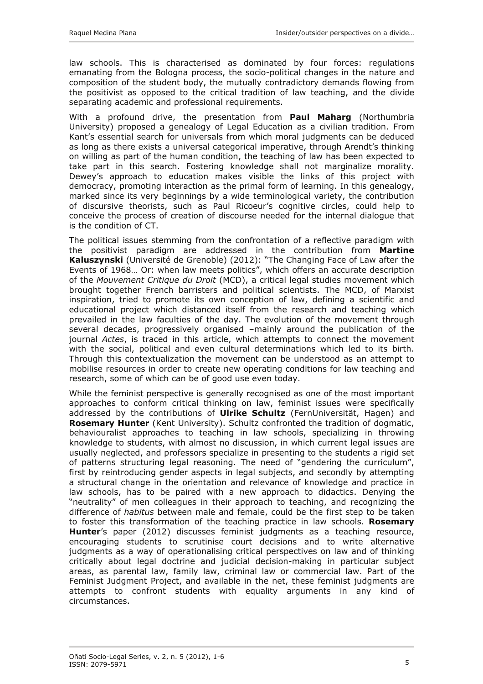law schools. This is characterised as dominated by four forces: regulations emanating from the Bologna process, the socio-political changes in the nature and composition of the student body, the mutually contradictory demands flowing from the positivist as opposed to the critical tradition of law teaching, and the divide separating academic and professional requirements.

With a profound drive, the presentation from **Paul Maharg** (Northumbria University) proposed a genealogy of Legal Education as a civilian tradition. From Kant's essential search for universals from which moral judgments can be deduced as long as there exists a universal categorical imperative, through Arendt's thinking on willing as part of the human condition, the teaching of law has been expected to take part in this search. Fostering knowledge shall not marginalize morality. Dewey's approach to education makes visible the links of this project with democracy, promoting interaction as the primal form of learning. In this genealogy, marked since its very beginnings by a wide terminological variety, the contribution of discursive theorists, such as Paul Ricoeur's cognitive circles, could help to conceive the process of creation of discourse needed for the internal dialogue that is the condition of CT.

The political issues stemming from the confrontation of a reflective paradigm with the positivist paradigm are addressed in the contribution from **Martine Kaluszynski** (Université de Grenoble) (2012): "The Changing Face of Law after the Events of 1968… Or: when law meets politics", which offers an accurate description of the *Mouvement Critique du Droit* (MCD), a critical legal studies movement which brought together French barristers and political scientists. The MCD, of Marxist inspiration, tried to promote its own conception of law, defining a scientific and educational project which distanced itself from the research and teaching which prevailed in the law faculties of the day. The evolution of the movement through several decades, progressively organised –mainly around the publication of the journal *Actes*, is traced in this article, which attempts to connect the movement with the social, political and even cultural determinations which led to its birth. Through this contextualization the movement can be understood as an attempt to mobilise resources in order to create new operating conditions for law teaching and research, some of which can be of good use even today.

While the feminist perspective is generally recognised as one of the most important approaches to conform critical thinking on law, feminist issues were specifically addressed by the contributions of **Ulrike Schultz** (FernUniversität, Hagen) and **Rosemary Hunter** (Kent University). Schultz confronted the tradition of dogmatic, behaviouralist approaches to teaching in law schools, specializing in throwing knowledge to students, with almost no discussion, in which current legal issues are usually neglected, and professors specialize in presenting to the students a rigid set of patterns structuring legal reasoning. The need of "gendering the curriculum", first by reintroducing gender aspects in legal subjects, and secondly by attempting a structural change in the orientation and relevance of knowledge and practice in law schools, has to be paired with a new approach to didactics. Denying the "neutrality" of men colleagues in their approach to teaching, and recognizing the difference of *habitus* between male and female, could be the first step to be taken to foster this transformation of the teaching practice in law schools. **Rosemary Hunter**'s paper (2012) discusses feminist judgments as a teaching resource, encouraging students to scrutinise court decisions and to write alternative judgments as a way of operationalising critical perspectives on law and of thinking critically about legal doctrine and judicial decision-making in particular subject areas, as parental law, family law, criminal law or commercial law. Part of the Feminist Judgment Project, and available in the net, these feminist judgments are attempts to confront students with equality arguments in any kind of circumstances.